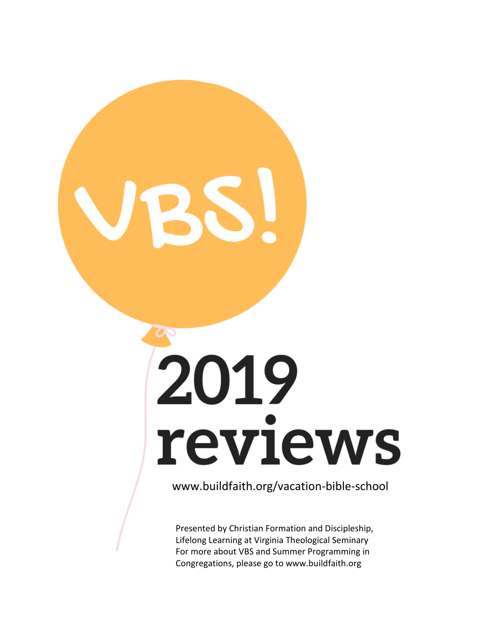# 2019 reviews

www.buildfaith.org/vacation-bible-school

Presented by Christian Formation and Discipleship, Lifelong Learning at Virginia Theological Seminary For more about VBS and Summer Programming in Congregations, please go to www.buildfaith.org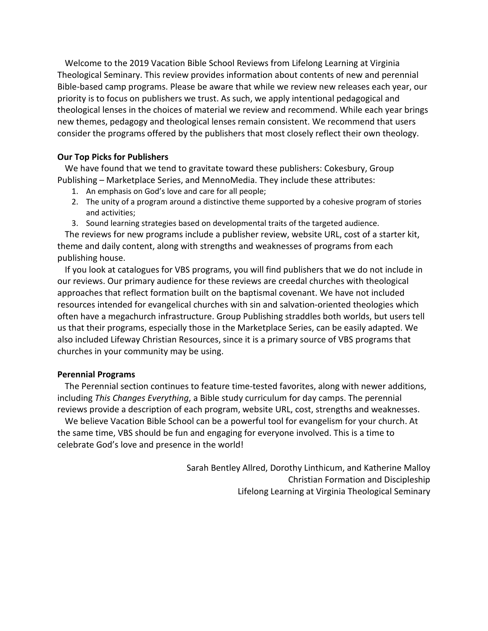Welcome to the 2019 Vacation Bible School Reviews from Lifelong Learning at Virginia Theological Seminary. This review provides information about contents of new and perennial Bible-based camp programs. Please be aware that while we review new releases each year, our priority is to focus on publishers we trust. As such, we apply intentional pedagogical and theological lenses in the choices of material we review and recommend. While each year brings new themes, pedagogy and theological lenses remain consistent. We recommend that users consider the programs offered by the publishers that most closely reflect their own theology.

#### **Our Top Picks for Publishers**

We have found that we tend to gravitate toward these publishers: Cokesbury, Group Publishing – Marketplace Series, and MennoMedia. They include these attributes:

- 1. An emphasis on God's love and care for all people;
- 2. The unity of a program around a distinctive theme supported by a cohesive program of stories and activities;
- 3. Sound learning strategies based on developmental traits of the targeted audience.

The reviews for new programs include a publisher review, website URL, cost of a starter kit, theme and daily content, along with strengths and weaknesses of programs from each publishing house.

If you look at catalogues for VBS programs, you will find publishers that we do not include in our reviews. Our primary audience for these reviews are creedal churches with theological approaches that reflect formation built on the baptismal covenant. We have not included resources intended for evangelical churches with sin and salvation-oriented theologies which often have a megachurch infrastructure. Group Publishing straddles both worlds, but users tell us that their programs, especially those in the Marketplace Series, can be easily adapted. We also included Lifeway Christian Resources, since it is a primary source of VBS programs that churches in your community may be using.

#### **Perennial Programs**

The Perennial section continues to feature time-tested favorites, along with newer additions, including *This Changes Everything*, a Bible study curriculum for day camps. The perennial reviews provide a description of each program, website URL, cost, strengths and weaknesses.

We believe Vacation Bible School can be a powerful tool for evangelism for your church. At the same time, VBS should be fun and engaging for everyone involved. This is a time to celebrate God's love and presence in the world!

> Sarah Bentley Allred, Dorothy Linthicum, and Katherine Malloy Christian Formation and Discipleship Lifelong Learning at Virginia Theological Seminary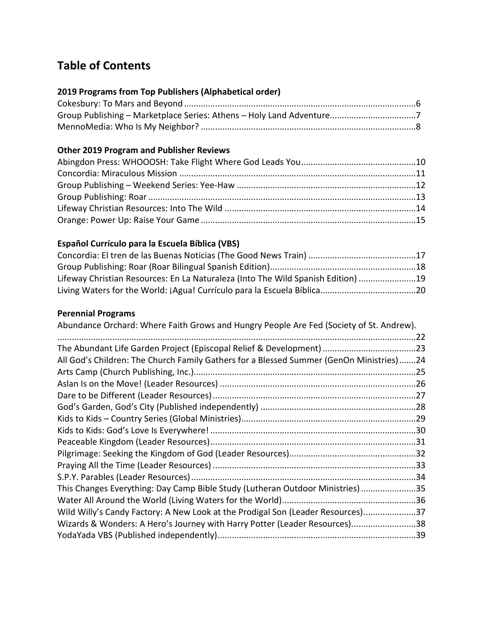# **Table of Contents**

# **2019 Programs from Top Publishers (Alphabetical order)**

# **Other 2019 Program and Publisher Reviews**

# **Español Currículo para la Escuela Bíblica (VBS)**

| Lifeway Christian Resources: En La Naturaleza (Into The Wild Spanish Edition) 19 |  |
|----------------------------------------------------------------------------------|--|
|                                                                                  |  |

# **Perennial Programs**

| The Abundant Life Garden Project (Episcopal Relief & Development) 23                    |
|-----------------------------------------------------------------------------------------|
| All God's Children: The Church Family Gathers for a Blessed Summer (GenOn Ministries)24 |
|                                                                                         |
|                                                                                         |
|                                                                                         |
|                                                                                         |
|                                                                                         |
|                                                                                         |
|                                                                                         |
|                                                                                         |
|                                                                                         |
|                                                                                         |
| This Changes Everything: Day Camp Bible Study (Lutheran Outdoor Ministries)35           |
|                                                                                         |
| Wild Willy's Candy Factory: A New Look at the Prodigal Son (Leader Resources)37         |
| Wizards & Wonders: A Hero's Journey with Harry Potter (Leader Resources)38              |
|                                                                                         |
|                                                                                         |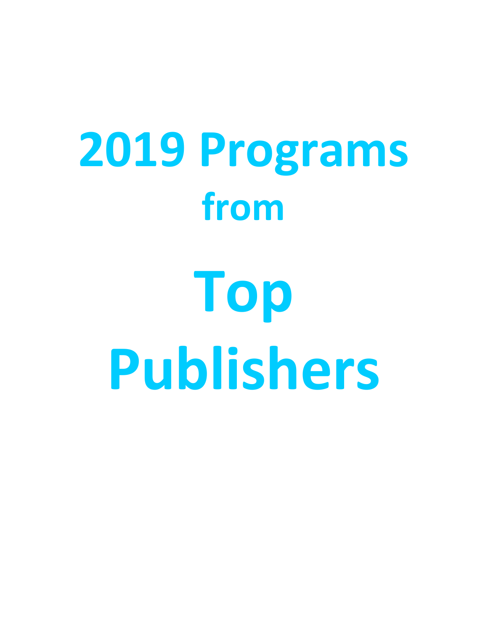# **2019 Programs from Top Publishers**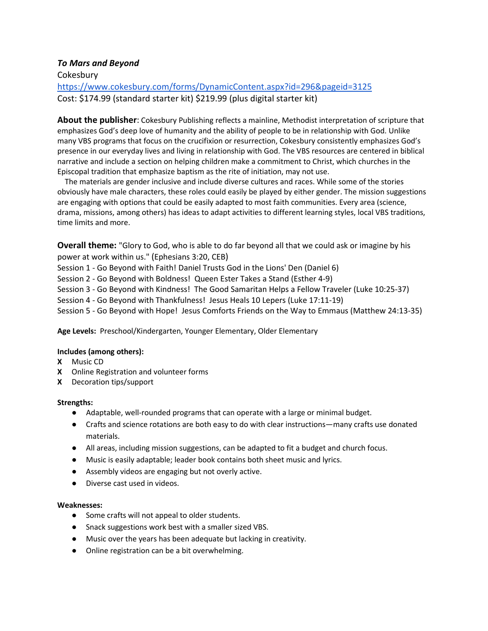#### *To Mars and Beyond*

**Cokesbury** 

https://www.cokesbury.com/forms/DynamicContent.aspx?id=296&pageid=3125 Cost: \$174.99 (standard starter kit) \$219.99 (plus digital starter kit)

**About the publisher**: Cokesbury Publishing reflects a mainline, Methodist interpretation of scripture that emphasizes God's deep love of humanity and the ability of people to be in relationship with God. Unlike many VBS programs that focus on the crucifixion or resurrection, Cokesbury consistently emphasizes God's presence in our everyday lives and living in relationship with God. The VBS resources are centered in biblical narrative and include a section on helping children make a commitment to Christ, which churches in the Episcopal tradition that emphasize baptism as the rite of initiation, may not use.

The materials are gender inclusive and include diverse cultures and races. While some of the stories obviously have male characters, these roles could easily be played by either gender. The mission suggestions are engaging with options that could be easily adapted to most faith communities. Every area (science, drama, missions, among others) has ideas to adapt activities to different learning styles, local VBS traditions, time limits and more.

**Overall theme:** "Glory to God, who is able to do far beyond all that we could ask or imagine by his power at work within us." (Ephesians 3:20, CEB)

Session 1 - Go Beyond with Faith! Daniel Trusts God in the Lions' Den (Daniel 6)

Session 2 - Go Beyond with Boldness! Queen Ester Takes a Stand (Esther 4-9)

Session 3 - Go Beyond with Kindness! The Good Samaritan Helps a Fellow Traveler (Luke 10:25-37)

Session 4 - Go Beyond with Thankfulness! Jesus Heals 10 Lepers (Luke 17:11-19)

Session 5 - Go Beyond with Hope! Jesus Comforts Friends on the Way to Emmaus (Matthew 24:13-35)

**Age Levels:** Preschool/Kindergarten, Younger Elementary, Older Elementary

#### **Includes (among others):**

- **X** Music CD
- **X** Online Registration and volunteer forms
- **X** Decoration tips/support

#### **Strengths:**

- Adaptable, well-rounded programs that can operate with a large or minimal budget.
- Crafts and science rotations are both easy to do with clear instructions—many crafts use donated materials.
- All areas, including mission suggestions, can be adapted to fit a budget and church focus.
- Music is easily adaptable; leader book contains both sheet music and lyrics.
- Assembly videos are engaging but not overly active.
- Diverse cast used in videos.

- Some crafts will not appeal to older students.
- Snack suggestions work best with a smaller sized VBS.
- Music over the years has been adequate but lacking in creativity.
- Online registration can be a bit overwhelming.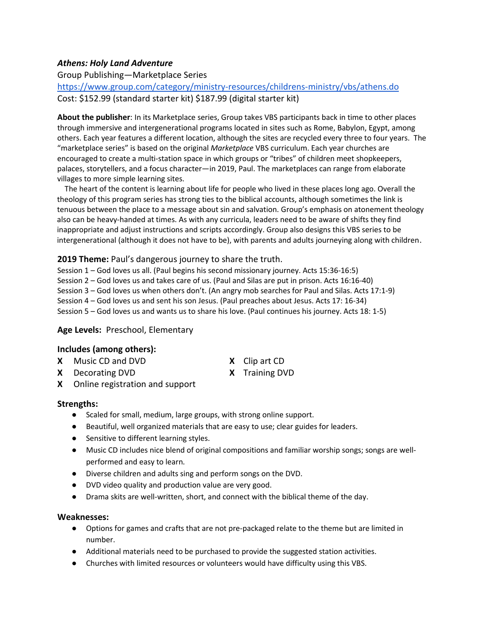# *Athens: Holy Land Adventure*

Group Publishing—Marketplace Series

https://www.group.com/category/ministry-resources/childrens-ministry/vbs/athens.do Cost: \$152.99 (standard starter kit) \$187.99 (digital starter kit)

**About the publisher**: In its Marketplace series, Group takes VBS participants back in time to other places through immersive and intergenerational programs located in sites such as Rome, Babylon, Egypt, among others. Each year features a different location, although the sites are recycled every three to four years. The "marketplace series" is based on the original *Marketplace* VBS curriculum. Each year churches are encouraged to create a multi-station space in which groups or "tribes" of children meet shopkeepers, palaces, storytellers, and a focus character—in 2019, Paul. The marketplaces can range from elaborate villages to more simple learning sites.

The heart of the content is learning about life for people who lived in these places long ago. Overall the theology of this program series has strong ties to the biblical accounts, although sometimes the link is tenuous between the place to a message about sin and salvation. Group's emphasis on atonement theology also can be heavy-handed at times. As with any curricula, leaders need to be aware of shifts they find inappropriate and adjust instructions and scripts accordingly. Group also designs this VBS series to be intergenerational (although it does not have to be), with parents and adults journeying along with children.

**2019 Theme:** Paul's dangerous journey to share the truth.

Session 1 – God loves us all. (Paul begins his second missionary journey. Acts 15:36-16:5) Session 2 – God loves us and takes care of us. (Paul and Silas are put in prison. Acts 16:16-40) Session 3 – God loves us when others don't. (An angry mob searches for Paul and Silas. Acts 17:1-9) Session 4 – God loves us and sent his son Jesus. (Paul preaches about Jesus. Acts 17: 16-34) Session 5 – God loves us and wants us to share his love. (Paul continues his journey. Acts 18: 1-5)

#### **Age Levels:** Preschool, Elementary

#### **Includes (among others):**

- **X** Music CD and DVD **X** Clip art CD
- **X** Decorating DVD **X** Training DVD
- 
- **X** Online registration and support

#### **Strengths:**

- Scaled for small, medium, large groups, with strong online support.
- Beautiful, well organized materials that are easy to use; clear guides for leaders.
- Sensitive to different learning styles.
- Music CD includes nice blend of original compositions and familiar worship songs; songs are wellperformed and easy to learn.
- Diverse children and adults sing and perform songs on the DVD.
- DVD video quality and production value are very good.
- Drama skits are well-written, short, and connect with the biblical theme of the day.

- Options for games and crafts that are not pre-packaged relate to the theme but are limited in number.
- Additional materials need to be purchased to provide the suggested station activities.
- Churches with limited resources or volunteers would have difficulty using this VBS.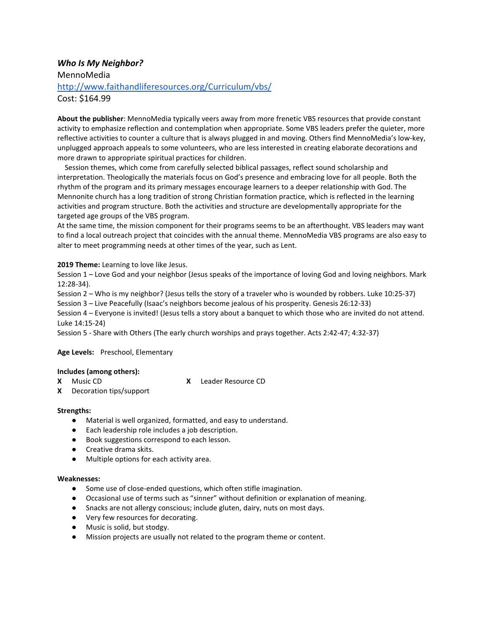### *Who Is My Neighbor?* MennoMedia http://www.faithandliferesources.org/Curriculum/vbs/ Cost: \$164.99

**About the publisher**: MennoMedia typically veers away from more frenetic VBS resources that provide constant activity to emphasize reflection and contemplation when appropriate. Some VBS leaders prefer the quieter, more reflective activities to counter a culture that is always plugged in and moving. Others find MennoMedia's low-key, unplugged approach appeals to some volunteers, who are less interested in creating elaborate decorations and more drawn to appropriate spiritual practices for children.

Session themes, which come from carefully selected biblical passages, reflect sound scholarship and interpretation. Theologically the materials focus on God's presence and embracing love for all people. Both the rhythm of the program and its primary messages encourage learners to a deeper relationship with God. The Mennonite church has a long tradition of strong Christian formation practice, which is reflected in the learning activities and program structure. Both the activities and structure are developmentally appropriate for the targeted age groups of the VBS program.

At the same time, the mission component for their programs seems to be an afterthought. VBS leaders may want to find a local outreach project that coincides with the annual theme. MennoMedia VBS programs are also easy to alter to meet programming needs at other times of the year, such as Lent.

#### **2019 Theme:** Learning to love like Jesus.

Session 1 – Love God and your neighbor (Jesus speaks of the importance of loving God and loving neighbors. Mark 12:28-34).

Session 2 – Who is my neighbor? (Jesus tells the story of a traveler who is wounded by robbers. Luke 10:25-37)

Session 3 – Live Peacefully (Isaac's neighbors become jealous of his prosperity. Genesis 26:12-33)

Session 4 – Everyone is invited! (Jesus tells a story about a banquet to which those who are invited do not attend. Luke 14:15-24)

Session 5 - Share with Others (The early church worships and prays together. Acts 2:42-47; 4:32-37)

#### **Age Levels:** Preschool, Elementary

#### **Includes (among others):**

- 
- **X** Decoration tips/support

**X** Music CD **X** Leader Resource CD

- **Strengths:**
	- Material is well organized, formatted, and easy to understand.
	- Each leadership role includes a job description.
	- Book suggestions correspond to each lesson.
	- Creative drama skits.
	- Multiple options for each activity area.

- Some use of close-ended questions, which often stifle imagination.
- Occasional use of terms such as "sinner" without definition or explanation of meaning.
- Snacks are not allergy conscious; include gluten, dairy, nuts on most days.
- Very few resources for decorating.
- Music is solid, but stodgy.
- Mission projects are usually not related to the program theme or content.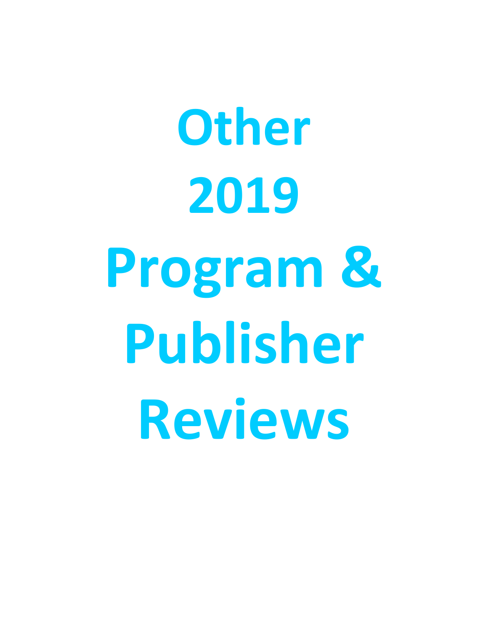**Other 2019 Program & Publisher Reviews**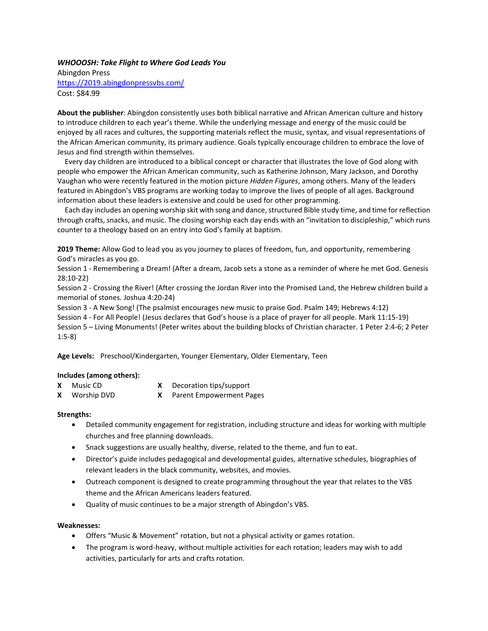#### *WHOOOSH: Take Flight to Where God Leads You*

Abingdon Press <https://2019.abingdonpressvbs.com/> Cost: \$84.99

**About the publisher**: Abingdon consistently uses both biblical narrative and African American culture and history to introduce children to each year's theme. While the underlying message and energy of the music could be enjoyed by all races and cultures, the supporting materials reflect the music, syntax, and visual representations of the African American community, its primary audience. Goals typically encourage children to embrace the love of Jesus and find strength within themselves.

Every day children are introduced to a biblical concept or character that illustrates the love of God along with people who empower the African American community, such as Katherine Johnson, Mary Jackson, and Dorothy Vaughan who were recently featured in the motion picture *Hidden Figures*, among others. Many of the leaders featured in Abingdon's VBS programs are working today to improve the lives of people of all ages. Background information about these leaders is extensive and could be used for other programming.

Each day includes an opening worship skit with song and dance, structured Bible study time, and time for reflection through crafts, snacks, and music. The closing worship each day ends with an "invitation to discipleship," which runs counter to a theology based on an entry into God's family at baptism.

**2019 Theme:** Allow God to lead you as you journey to places of freedom, fun, and opportunity, remembering God's miracles as you go.

Session 1 - Remembering a Dream! (After a dream, Jacob sets a stone as a reminder of where he met God. Genesis 28:10-22)

Session 2 - Crossing the River! (After crossing the Jordan River into the Promised Land, the Hebrew children build a memorial of stones. Joshua 4:20-24)

Session 3 - A New Song! (The psalmist encourages new music to praise God. Psalm 149; Hebrews 4:12)

Session 4 - For All People! (Jesus declares that God's house is a place of prayer for all people. Mark 11:15-19)

Session 5 – Living Monuments! (Peter writes about the building blocks of Christian character. 1 Peter 2:4-6; 2 Peter 1:5-8)

**Age Levels:** Preschool/Kindergarten, Younger Elementary, Older Elementary, Teen

#### **Includes (among others):**

- **X** Music CD **X** Decoration tips/support
- **X** Worship DVD **X** Parent Empowerment Pages

#### **Strengths:**

- Detailed community engagement for registration, including structure and ideas for working with multiple churches and free planning downloads.
- Snack suggestions are usually healthy, diverse, related to the theme, and fun to eat.
- Director's guide includes pedagogical and developmental guides, alternative schedules, biographies of relevant leaders in the black community, websites, and movies.
- Outreach component is designed to create programming throughout the year that relates to the VBS theme and the African Americans leaders featured.
- Quality of music continues to be a major strength of Abingdon's VBS.

- Offers "Music & Movement" rotation, but not a physical activity or games rotation.
- The program is word-heavy, without multiple activities for each rotation; leaders may wish to add activities, particularly for arts and crafts rotation.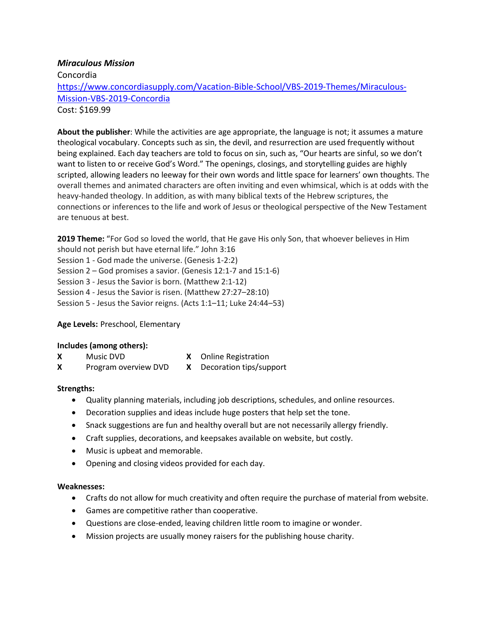#### *Miraculous Mission*

Concordia [https://www.concordiasupply.com/Vacation-Bible-School/VBS-2019-Themes/Miraculous-](https://www.concordiasupply.com/Vacation-Bible-School/VBS-2019-Themes/Miraculous-Mission-VBS-2019-Concordia)[Mission-VBS-2019-Concordia](https://www.concordiasupply.com/Vacation-Bible-School/VBS-2019-Themes/Miraculous-Mission-VBS-2019-Concordia) Cost: \$169.99

**About the publisher**: While the activities are age appropriate, the language is not; it assumes a mature theological vocabulary. Concepts such as sin, the devil, and resurrection are used frequently without being explained. Each day teachers are told to focus on sin, such as, "Our hearts are sinful, so we don't want to listen to or receive God's Word." The openings, closings, and storytelling guides are highly scripted, allowing leaders no leeway for their own words and little space for learners' own thoughts. The overall themes and animated characters are often inviting and even whimsical, which is at odds with the heavy-handed theology. In addition, as with many biblical texts of the Hebrew scriptures, the connections or inferences to the life and work of Jesus or theological perspective of the New Testament are tenuous at best.

**2019 Theme:** "For God so loved the world, that He gave His only Son, that whoever believes in Him should not perish but have eternal life." John 3:16 Session 1 - God made the universe. (Genesis 1-2:2) Session 2 – God promises a savior. (Genesis 12:1-7 and 15:1-6) Session 3 - Jesus the Savior is born. (Matthew 2:1-12) Session 4 - Jesus the Savior is risen. (Matthew 27:27–28:10) Session 5 - Jesus the Savior reigns. (Acts 1:1–11; Luke 24:44–53)

#### **Age Levels:** Preschool, Elementary

#### **Includes (among others):**

- **X** Music DVD **X** Online Registration
- **X** Program overview DVD **X** Decoration tips/support

#### **Strengths:**

- Quality planning materials, including job descriptions, schedules, and online resources.
- Decoration supplies and ideas include huge posters that help set the tone.
- Snack suggestions are fun and healthy overall but are not necessarily allergy friendly.
- Craft supplies, decorations, and keepsakes available on website, but costly.
- Music is upbeat and memorable.
- Opening and closing videos provided for each day.

- Crafts do not allow for much creativity and often require the purchase of material from website.
- Games are competitive rather than cooperative.
- Questions are close-ended, leaving children little room to imagine or wonder.
- Mission projects are usually money raisers for the publishing house charity.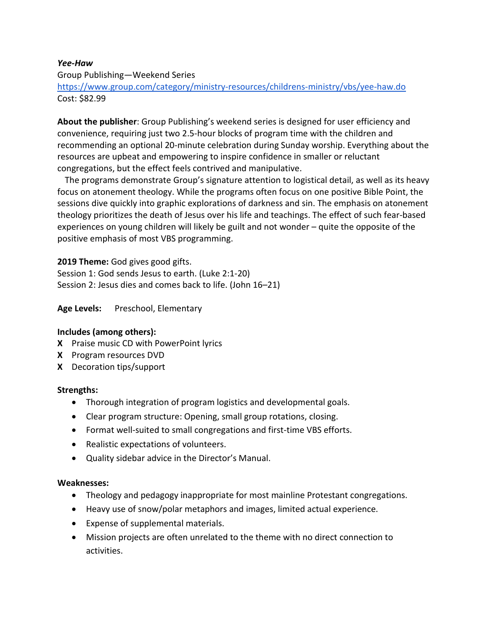### *Yee-Haw*

Group Publishing—Weekend Series

https://www.group.com/category/ministry-resources/childrens-ministry/vbs/yee-haw.do Cost: \$82.99

**About the publisher**: Group Publishing's weekend series is designed for user efficiency and convenience, requiring just two 2.5-hour blocks of program time with the children and recommending an optional 20-minute celebration during Sunday worship. Everything about the resources are upbeat and empowering to inspire confidence in smaller or reluctant congregations, but the effect feels contrived and manipulative.

The programs demonstrate Group's signature attention to logistical detail, as well as its heavy focus on atonement theology. While the programs often focus on one positive Bible Point, the sessions dive quickly into graphic explorations of darkness and sin. The emphasis on atonement theology prioritizes the death of Jesus over his life and teachings. The effect of such fear-based experiences on young children will likely be guilt and not wonder – quite the opposite of the positive emphasis of most VBS programming.

**2019 Theme:** God gives good gifts.

Session 1: God sends Jesus to earth. (Luke 2:1-20) Session 2: Jesus dies and comes back to life. (John 16–21)

**Age Levels:** Preschool, Elementary

#### **Includes (among others):**

- **X** Praise music CD with PowerPoint lyrics
- **X** Program resources DVD
- **X** Decoration tips/support

#### **Strengths:**

- Thorough integration of program logistics and developmental goals.
- Clear program structure: Opening, small group rotations, closing.
- Format well-suited to small congregations and first-time VBS efforts.
- Realistic expectations of volunteers.
- Quality sidebar advice in the Director's Manual.

- Theology and pedagogy inappropriate for most mainline Protestant congregations.
- Heavy use of snow/polar metaphors and images, limited actual experience.
- Expense of supplemental materials.
- Mission projects are often unrelated to the theme with no direct connection to activities.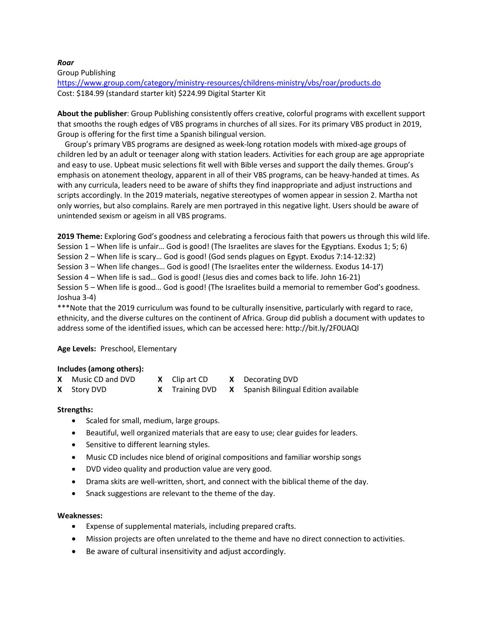#### *Roar*

Group Publishing

<https://www.group.com/category/ministry-resources/childrens-ministry/vbs/roar/products.do> Cost: \$184.99 (standard starter kit) \$224.99 Digital Starter Kit

**About the publisher**: Group Publishing consistently offers creative, colorful programs with excellent support that smooths the rough edges of VBS programs in churches of all sizes. For its primary VBS product in 2019, Group is offering for the first time a Spanish bilingual version.

Group's primary VBS programs are designed as week-long rotation models with mixed-age groups of children led by an adult or teenager along with station leaders. Activities for each group are age appropriate and easy to use. Upbeat music selections fit well with Bible verses and support the daily themes. Group's emphasis on atonement theology, apparent in all of their VBS programs, can be heavy-handed at times. As with any curricula, leaders need to be aware of shifts they find inappropriate and adjust instructions and scripts accordingly. In the 2019 materials, negative stereotypes of women appear in session 2. Martha not only worries, but also complains. Rarely are men portrayed in this negative light. Users should be aware of unintended sexism or ageism in all VBS programs.

**2019 Theme:** Exploring God's goodness and celebrating a ferocious faith that powers us through this wild life. Session 1 – When life is unfair… God is good! (The Israelites are slaves for the Egyptians. Exodus 1; 5; 6) Session 2 – When life is scary… God is good! (God sends plagues on Egypt. Exodus 7:14-12:32) Session 3 – When life changes… God is good! (The Israelites enter the wilderness. Exodus 14-17) Session 4 – When life is sad… God is good! (Jesus dies and comes back to life. John 16-21)

Session 5 – When life is good… God is good! (The Israelites build a memorial to remember God's goodness. Joshua 3-4)

\*\*\*Note that the 2019 curriculum was found to be culturally insensitive, particularly with regard to race, ethnicity, and the diverse cultures on the continent of Africa. Group did publish a document with updates to address some of the identified issues, which can be accessed here: http://bit.ly/2F0UAQI

#### **Age Levels:** Preschool, Elementary

#### **Includes (among others):**

| <b>X</b> Music CD and DVD | <b>X</b> Clip art CD | <b>X</b> Decorating DVD                              |
|---------------------------|----------------------|------------------------------------------------------|
| <b>X</b> Story DVD        |                      | X Training DVD X Spanish Bilingual Edition available |

#### **Strengths:**

- Scaled for small, medium, large groups.
- Beautiful, well organized materials that are easy to use; clear guides for leaders.
- Sensitive to different learning styles.
- Music CD includes nice blend of original compositions and familiar worship songs
- DVD video quality and production value are very good.
- Drama skits are well-written, short, and connect with the biblical theme of the day.
- Snack suggestions are relevant to the theme of the day.

- Expense of supplemental materials, including prepared crafts.
- Mission projects are often unrelated to the theme and have no direct connection to activities.
- Be aware of cultural insensitivity and adjust accordingly.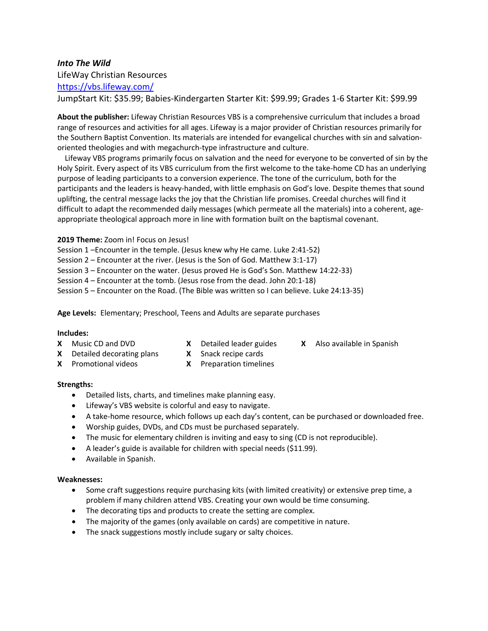# *Into The Wild* LifeWay Christian Resources

<https://vbs.lifeway.com/>

JumpStart Kit: \$35.99; Babies-Kindergarten Starter Kit: \$99.99; Grades 1-6 Starter Kit: \$99.99

**About the publisher:** Lifeway Christian Resources VBS is a comprehensive curriculum that includes a broad range of resources and activities for all ages. Lifeway is a major provider of Christian resources primarily for the Southern Baptist Convention. Its materials are intended for evangelical churches with sin and salvationoriented theologies and with megachurch-type infrastructure and culture.

Lifeway VBS programs primarily focus on salvation and the need for everyone to be converted of sin by the Holy Spirit. Every aspect of its VBS curriculum from the first welcome to the take-home CD has an underlying purpose of leading participants to a conversion experience. The tone of the curriculum, both for the participants and the leaders is heavy-handed, with little emphasis on God's love. Despite themes that sound uplifting, the central message lacks the joy that the Christian life promises. Creedal churches will find it difficult to adapt the recommended daily messages (which permeate all the materials) into a coherent, ageappropriate theological approach more in line with formation built on the baptismal covenant.

**2019 Theme:** Zoom in! Focus on Jesus!

Session 1 –Encounter in the temple. (Jesus knew why He came. Luke 2:41-52)

Session 2 – Encounter at the river. (Jesus is the Son of God. Matthew 3:1-17)

Session 3 – Encounter on the water. (Jesus proved He is God's Son. Matthew 14:22-33)

Session 4 – Encounter at the tomb. (Jesus rose from the dead. John 20:1-18)

Session 5 – Encounter on the Road. (The Bible was written so I can believe. Luke 24:13-35)

**Age Levels:** Elementary; Preschool, Teens and Adults are separate purchases

#### **Includes:**

- 
- 
- **X** Music CD and DVD **X** Detailed leader guides **X** Also available in Spanish
- **X** Detailed decorating plans **X** Snack recipe cards **X** Promotional videos **X** Preparation timelines
- 
- 

#### **Strengths:**

- Detailed lists, charts, and timelines make planning easy.
- Lifeway's VBS website is colorful and easy to navigate.
- A take-home resource, which follows up each day's content, can be purchased or downloaded free.
- Worship guides, DVDs, and CDs must be purchased separately.
- The music for elementary children is inviting and easy to sing (CD is not reproducible).
- A leader's guide is available for children with special needs (\$11.99).
- Available in Spanish.

- Some craft suggestions require purchasing kits (with limited creativity) or extensive prep time, a problem if many children attend VBS. Creating your own would be time consuming.
- The decorating tips and products to create the setting are complex.
- The majority of the games (only available on cards) are competitive in nature.
- The snack suggestions mostly include sugary or salty choices.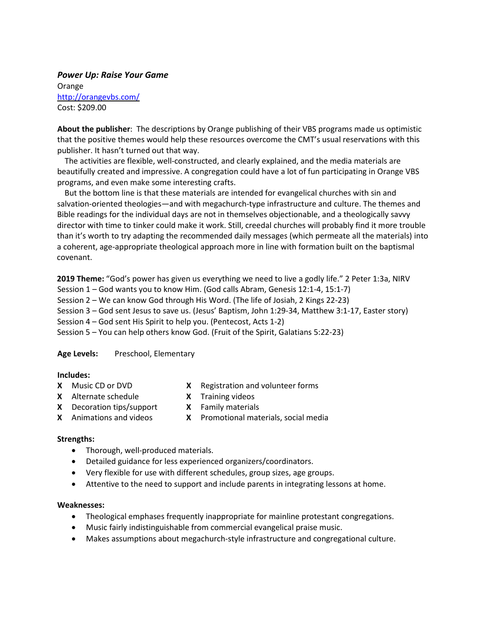*Power Up: Raise Your Game* Orange <http://orangevbs.com/> Cost: \$209.00

**About the publisher**: The descriptions by Orange publishing of their VBS programs made us optimistic that the positive themes would help these resources overcome the CMT's usual reservations with this publisher. It hasn't turned out that way.

The activities are flexible, well-constructed, and clearly explained, and the media materials are beautifully created and impressive. A congregation could have a lot of fun participating in Orange VBS programs, and even make some interesting crafts.

But the bottom line is that these materials are intended for evangelical churches with sin and salvation-oriented theologies—and with megachurch-type infrastructure and culture. The themes and Bible readings for the individual days are not in themselves objectionable, and a theologically savvy director with time to tinker could make it work. Still, creedal churches will probably find it more trouble than it's worth to try adapting the recommended daily messages (which permeate all the materials) into a coherent, age-appropriate theological approach more in line with formation built on the baptismal covenant.

**2019 Theme:** "God's power has given us everything we need to live a godly life." 2 Peter 1:3a, NIRV

Session 1 – God wants you to know Him. (God calls Abram, Genesis 12:1-4, 15:1-7)

Session 2 – We can know God through His Word. (The life of Josiah, 2 Kings 22-23)

Session 3 – God sent Jesus to save us. (Jesus' Baptism, John 1:29-34, Matthew 3:1-17, Easter story)

Session 4 – God sent His Spirit to help you. (Pentecost, Acts 1-2)

Session 5 – You can help others know God. (Fruit of the Spirit, Galatians 5:22-23)

#### **Age Levels:** Preschool, Elementary

#### **Includes:**

- 
- **X** Music CD or DVD **X** Registration and volunteer forms
- **X** Alternate schedule **X** Training videos
	-
- **X** Decoration tips/support **X** Family materials
- 
- **X** Animations and videos **X** Promotional materials, social media
- 

#### **Strengths:**

- Thorough, well-produced materials.
- Detailed guidance for less experienced organizers/coordinators.
- Very flexible for use with different schedules, group sizes, age groups.
- Attentive to the need to support and include parents in integrating lessons at home.

- Theological emphases frequently inappropriate for mainline protestant congregations.
- Music fairly indistinguishable from commercial evangelical praise music.
- Makes assumptions about megachurch-style infrastructure and congregational culture.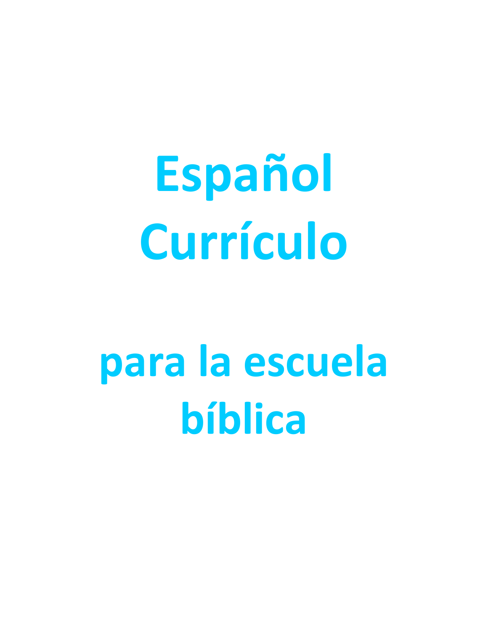**Español Currículo**

# **para la escuela bíblica**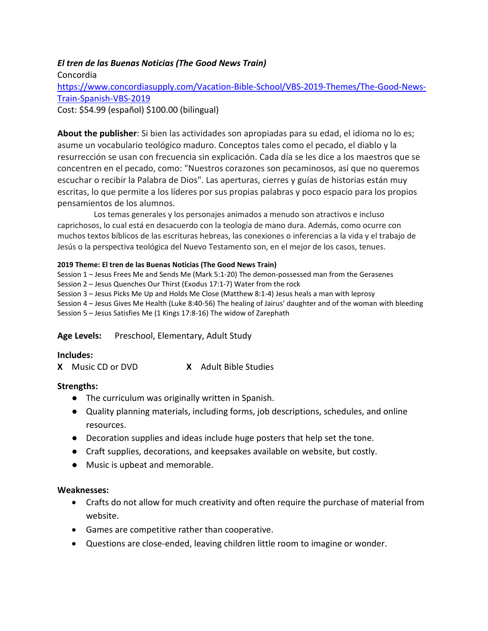# *El tren de las Buenas Noticias (The Good News Train)*

Concordia [https://www.concordiasupply.com/Vacation-Bible-School/VBS-2019-Themes/The-Good-News-](https://www.concordiasupply.com/Vacation-Bible-School/VBS-2019-Themes/The-Good-News-Train-Spanish-VBS-2019)[Train-Spanish-VBS-2019](https://www.concordiasupply.com/Vacation-Bible-School/VBS-2019-Themes/The-Good-News-Train-Spanish-VBS-2019) Cost: \$54.99 (español) \$100.00 (bilingual)

**About the publisher**: Si bien las actividades son apropiadas para su edad, el idioma no lo es; asume un vocabulario teológico maduro. Conceptos tales como el pecado, el diablo y la resurrección se usan con frecuencia sin explicación. Cada día se les dice a los maestros que se concentren en el pecado, como: "Nuestros corazones son pecaminosos, así que no queremos escuchar o recibir la Palabra de Dios". Las aperturas, cierres y guías de historias están muy escritas, lo que permite a los líderes por sus propias palabras y poco espacio para los propios pensamientos de los alumnos.

Los temas generales y los personajes animados a menudo son atractivos e incluso caprichosos, lo cual está en desacuerdo con la teología de mano dura. Además, como ocurre con muchos textos bíblicos de las escrituras hebreas, las conexiones o inferencias a la vida y el trabajo de Jesús o la perspectiva teológica del Nuevo Testamento son, en el mejor de los casos, tenues.

#### **2019 Theme: El tren de las Buenas Noticias (The Good News Train)**

Session 1 – Jesus Frees Me and Sends Me (Mark 5:1-20) The demon-possessed man from the Gerasenes Session 2 – Jesus Quenches Our Thirst (Exodus 17:1-7) Water from the rock Session 3 – Jesus Picks Me Up and Holds Me Close (Matthew 8:1-4) Jesus heals a man with leprosy Session 4 – Jesus Gives Me Health (Luke 8:40-56) The healing of Jairus' daughter and of the woman with bleeding Session 5 – Jesus Satisfies Me (1 Kings 17:8-16) The widow of Zarephath

#### **Age Levels:** Preschool, Elementary, Adult Study

#### **Includes:**

**X** Music CD or DVD **X** Adult Bible Studies

#### **Strengths:**

- The curriculum was originally written in Spanish.
- Quality planning materials, including forms, job descriptions, schedules, and online resources.
- Decoration supplies and ideas include huge posters that help set the tone.
- Craft supplies, decorations, and keepsakes available on website, but costly.
- Music is upbeat and memorable.

- Crafts do not allow for much creativity and often require the purchase of material from website.
- Games are competitive rather than cooperative.
- Questions are close-ended, leaving children little room to imagine or wonder.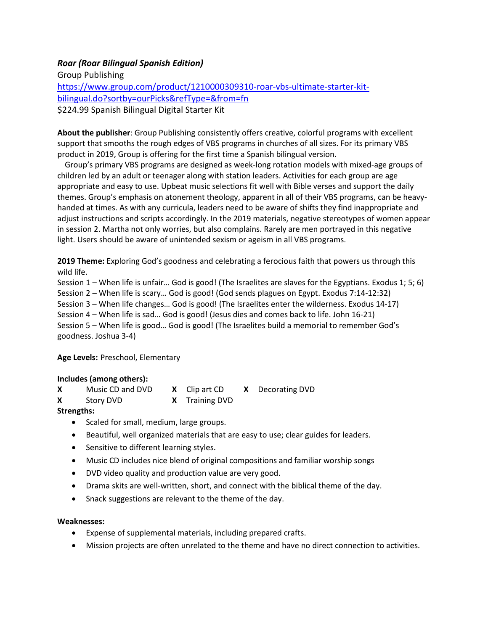# *Roar (Roar Bilingual Spanish Edition)*

Group Publishing [https://www.group.com/product/1210000309310-roar-vbs-ultimate-starter-kit](https://www.group.com/product/1210000309310-roar-vbs-ultimate-starter-kit-bilingual.do?sortby=ourPicks&refType=&from=fn)[bilingual.do?sortby=ourPicks&refType=&from=fn](https://www.group.com/product/1210000309310-roar-vbs-ultimate-starter-kit-bilingual.do?sortby=ourPicks&refType=&from=fn) \$224.99 Spanish Bilingual Digital Starter Kit

**About the publisher**: Group Publishing consistently offers creative, colorful programs with excellent support that smooths the rough edges of VBS programs in churches of all sizes. For its primary VBS product in 2019, Group is offering for the first time a Spanish bilingual version.

Group's primary VBS programs are designed as week-long rotation models with mixed-age groups of children led by an adult or teenager along with station leaders. Activities for each group are age appropriate and easy to use. Upbeat music selections fit well with Bible verses and support the daily themes. Group's emphasis on atonement theology, apparent in all of their VBS programs, can be heavyhanded at times. As with any curricula, leaders need to be aware of shifts they find inappropriate and adjust instructions and scripts accordingly. In the 2019 materials, negative stereotypes of women appear in session 2. Martha not only worries, but also complains. Rarely are men portrayed in this negative light. Users should be aware of unintended sexism or ageism in all VBS programs.

**2019 Theme:** Exploring God's goodness and celebrating a ferocious faith that powers us through this wild life.

Session 1 – When life is unfair… God is good! (The Israelites are slaves for the Egyptians. Exodus 1; 5; 6) Session 2 – When life is scary… God is good! (God sends plagues on Egypt. Exodus 7:14-12:32) Session 3 – When life changes… God is good! (The Israelites enter the wilderness. Exodus 14-17) Session 4 – When life is sad… God is good! (Jesus dies and comes back to life. John 16-21)

Session 5 – When life is good… God is good! (The Israelites build a memorial to remember God's goodness. Joshua 3-4)

**Age Levels:** Preschool, Elementary

#### **Includes (among others):**

|  | Music CD and DVD |  | $X$ Clip art CD |  | X Decorating DVD |
|--|------------------|--|-----------------|--|------------------|
|--|------------------|--|-----------------|--|------------------|

**X** Story DVD **X** Training DVD

#### **Strengths:**

- Scaled for small, medium, large groups.
- Beautiful, well organized materials that are easy to use; clear guides for leaders.
- Sensitive to different learning styles.
- Music CD includes nice blend of original compositions and familiar worship songs
- DVD video quality and production value are very good.
- Drama skits are well-written, short, and connect with the biblical theme of the day.
- Snack suggestions are relevant to the theme of the day.

- Expense of supplemental materials, including prepared crafts.
- Mission projects are often unrelated to the theme and have no direct connection to activities.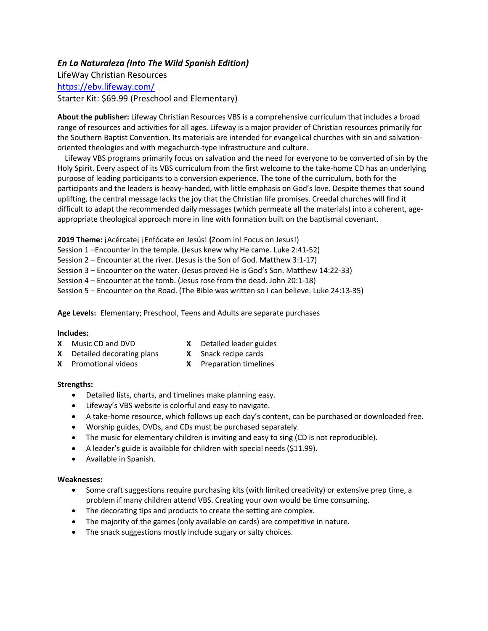#### *En La Naturaleza (Into The Wild Spanish Edition)*

LifeWay Christian Resources <https://ebv.lifeway.com/> Starter Kit: \$69.99 (Preschool and Elementary)

**About the publisher:** Lifeway Christian Resources VBS is a comprehensive curriculum that includes a broad range of resources and activities for all ages. Lifeway is a major provider of Christian resources primarily for the Southern Baptist Convention. Its materials are intended for evangelical churches with sin and salvationoriented theologies and with megachurch-type infrastructure and culture.

Lifeway VBS programs primarily focus on salvation and the need for everyone to be converted of sin by the Holy Spirit. Every aspect of its VBS curriculum from the first welcome to the take-home CD has an underlying purpose of leading participants to a conversion experience. The tone of the curriculum, both for the participants and the leaders is heavy-handed, with little emphasis on God's love. Despite themes that sound uplifting, the central message lacks the joy that the Christian life promises. Creedal churches will find it difficult to adapt the recommended daily messages (which permeate all the materials) into a coherent, ageappropriate theological approach more in line with formation built on the baptismal covenant.

**2019 Theme:** ¡Acércate¡ ¡Enfócate en Jesús! **(**Zoom in! Focus on Jesus!) Session 1 –Encounter in the temple. (Jesus knew why He came. Luke 2:41-52) Session 2 – Encounter at the river. (Jesus is the Son of God. Matthew 3:1-17) Session 3 – Encounter on the water. (Jesus proved He is God's Son. Matthew 14:22-33) Session 4 – Encounter at the tomb. (Jesus rose from the dead. John 20:1-18) Session 5 – Encounter on the Road. (The Bible was written so I can believe. Luke 24:13-35)

**Age Levels:** Elementary; Preschool, Teens and Adults are separate purchases

#### **Includes:**

- 
- **X** Music CD and DVD **X** Detailed leader guides
- **X** Detailed decorating plans **X** Snack recipe cards
- **X** Promotional videos **X** Preparation timelines

#### **Strengths:**

- Detailed lists, charts, and timelines make planning easy.
- Lifeway's VBS website is colorful and easy to navigate.
- A take-home resource, which follows up each day's content, can be purchased or downloaded free.
- Worship guides, DVDs, and CDs must be purchased separately.
- The music for elementary children is inviting and easy to sing (CD is not reproducible).
- A leader's guide is available for children with special needs (\$11.99).
- Available in Spanish.

- Some craft suggestions require purchasing kits (with limited creativity) or extensive prep time, a problem if many children attend VBS. Creating your own would be time consuming.
- The decorating tips and products to create the setting are complex.
- The majority of the games (only available on cards) are competitive in nature.
- The snack suggestions mostly include sugary or salty choices.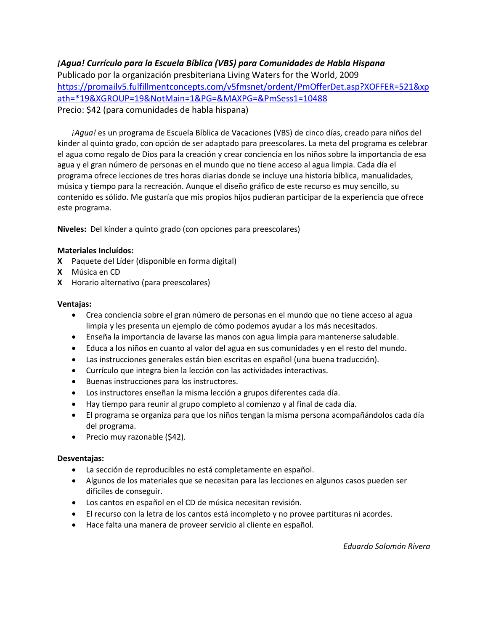# *¡Agua! Currículo para la Escuela Bíblica (VBS) para Comunidades de Habla Hispana*

Publicado por la organización presbiteriana Living Waters for the World, 2009 [https://promailv5.fulfillmentconcepts.com/v5fmsnet/ordent/PmOfferDet.asp?XOFFER=521&xp](https://promailv5.fulfillmentconcepts.com/v5fmsnet/ordent/PmOfferDet.asp?XOFFER=521&xpath=*19&XGROUP=19&NotMain=1&PG=&MAXPG=&PmSess1=10488) [ath=\\*19&XGROUP=19&NotMain=1&PG=&MAXPG=&PmSess1=10488](https://promailv5.fulfillmentconcepts.com/v5fmsnet/ordent/PmOfferDet.asp?XOFFER=521&xpath=*19&XGROUP=19&NotMain=1&PG=&MAXPG=&PmSess1=10488) Precio: \$42 (para comunidades de habla hispana)

*¡Agua!* es un programa de Escuela Bíblica de Vacaciones (VBS) de cinco días, creado para niños del kínder al quinto grado, con opción de ser adaptado para preescolares. La meta del programa es celebrar el agua como regalo de Dios para la creación y crear conciencia en los niños sobre la importancia de esa agua y el gran número de personas en el mundo que no tiene acceso al agua limpia. Cada día el programa ofrece lecciones de tres horas diarias donde se incluye una historia bíblica, manualidades, música y tiempo para la recreación. Aunque el diseño gráfico de este recurso es muy sencillo, su contenido es sólido. Me gustaría que mis propios hijos pudieran participar de la experiencia que ofrece este programa.

**Niveles:** Del kínder a quinto grado (con opciones para preescolares)

#### **Materiales Incluídos:**

- **X** Paquete del Líder (disponible en forma digital)
- **X** Música en CD
- **X** Horario alternativo (para preescolares)

#### **Ventajas:**

- Crea conciencia sobre el gran número de personas en el mundo que no tiene acceso al agua limpia y les presenta un ejemplo de cómo podemos ayudar a los más necesitados.
- Enseña la importancia de lavarse las manos con agua limpia para mantenerse saludable.
- Educa a los niños en cuanto al valor del agua en sus comunidades y en el resto del mundo.
- Las instrucciones generales están bien escritas en español (una buena traducción).
- Currículo que integra bien la lección con las actividades interactivas.
- Buenas instrucciones para los instructores.
- Los instructores enseñan la misma lección a grupos diferentes cada día.
- Hay tiempo para reunir al grupo completo al comienzo y al final de cada día.
- El programa se organiza para que los niños tengan la misma persona acompañándolos cada día del programa.
- Precio muy razonable (\$42).

#### **Desventajas:**

- La sección de reproducibles no está completamente en español.
- Algunos de los materiales que se necesitan para las lecciones en algunos casos pueden ser difíciles de conseguir.
- Los cantos en español en el CD de música necesitan revisión.
- El recurso con la letra de los cantos está incompleto y no provee partituras ni acordes.
- Hace falta una manera de proveer servicio al cliente en español.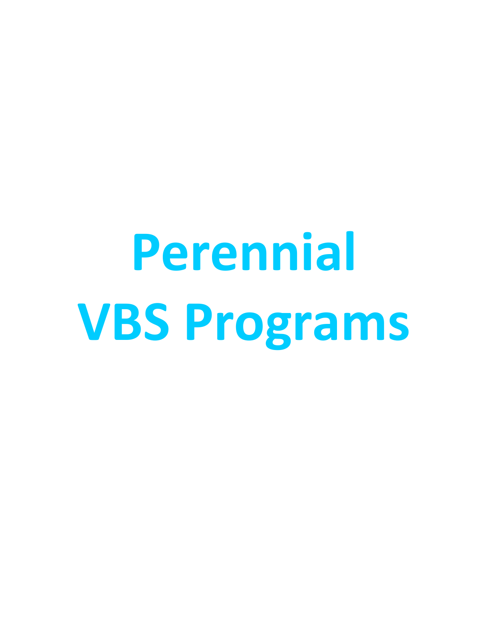# **Perennial VBS Programs**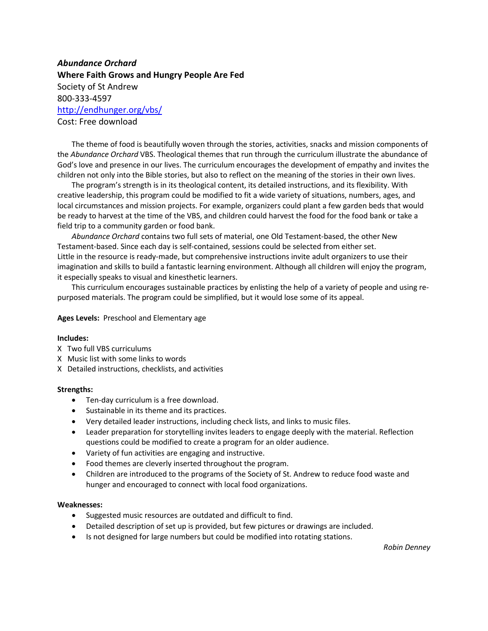# *Abundance Orchard* **Where Faith Grows and Hungry People Are Fed** Society of St Andrew 800-333-4597 <http://endhunger.org/vbs/> Cost: Free download

The theme of food is beautifully woven through the stories, activities, snacks and mission components of the *Abundance Orchard* VBS. Theological themes that run through the curriculum illustrate the abundance of God's love and presence in our lives. The curriculum encourages the development of empathy and invites the children not only into the Bible stories, but also to reflect on the meaning of the stories in their own lives.

The program's strength is in its theological content, its detailed instructions, and its flexibility. With creative leadership, this program could be modified to fit a wide variety of situations, numbers, ages, and local circumstances and mission projects. For example, organizers could plant a few garden beds that would be ready to harvest at the time of the VBS, and children could harvest the food for the food bank or take a field trip to a community garden or food bank.

*Abundance Orchard* contains two full sets of material, one Old Testament-based, the other New Testament-based. Since each day is self-contained, sessions could be selected from either set. Little in the resource is ready-made, but comprehensive instructions invite adult organizers to use their imagination and skills to build a fantastic learning environment. Although all children will enjoy the program, it especially speaks to visual and kinesthetic learners.

This curriculum encourages sustainable practices by enlisting the help of a variety of people and using repurposed materials. The program could be simplified, but it would lose some of its appeal.

#### **Ages Levels:** Preschool and Elementary age

#### **Includes:**

- X Two full VBS curriculums
- X Music list with some links to words
- X Detailed instructions, checklists, and activities

#### **Strengths:**

- Ten-day curriculum is a free download.
- Sustainable in its theme and its practices.
- Very detailed leader instructions, including check lists, and links to music files.
- Leader preparation for storytelling invites leaders to engage deeply with the material. Reflection questions could be modified to create a program for an older audience.
- Variety of fun activities are engaging and instructive.
- Food themes are cleverly inserted throughout the program.
- Children are introduced to the programs of the Society of St. Andrew to reduce food waste and hunger and encouraged to connect with local food organizations.

#### **Weaknesses:**

- Suggested music resources are outdated and difficult to find.
- Detailed description of set up is provided, but few pictures or drawings are included.
- Is not designed for large numbers but could be modified into rotating stations.

*Robin Denney*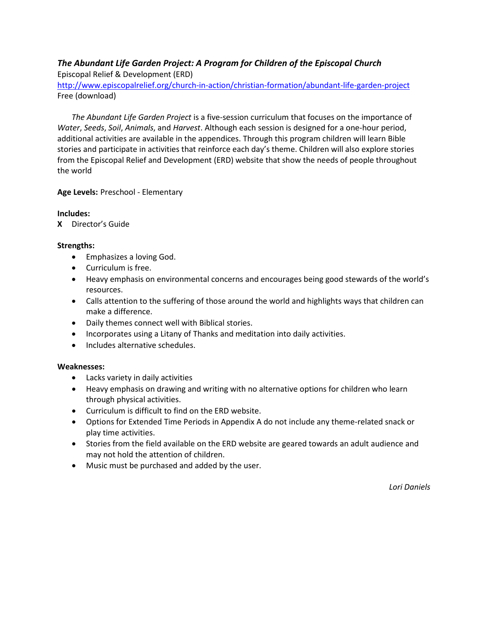# *The Abundant Life Garden Project: A Program for Children of the Episcopal Church*

Episcopal Relief & Development (ERD)

<http://www.episcopalrelief.org/church-in-action/christian-formation/abundant-life-garden-project> Free (download)

*The Abundant Life Garden Project* is a five-session curriculum that focuses on the importance of *Water*, *Seeds*, *Soil*, *Animals*, and *Harvest*. Although each session is designed for a one-hour period, additional activities are available in the appendices. Through this program children will learn Bible stories and participate in activities that reinforce each day's theme. Children will also explore stories from the Episcopal Relief and Development (ERD) website that show the needs of people throughout the world

#### **Age Levels:** Preschool - Elementary

#### **Includes:**

**X** Director's Guide

#### **Strengths:**

- Emphasizes a loving God.
- Curriculum is free.
- Heavy emphasis on environmental concerns and encourages being good stewards of the world's resources.
- Calls attention to the suffering of those around the world and highlights ways that children can make a difference.
- Daily themes connect well with Biblical stories.
- Incorporates using a Litany of Thanks and meditation into daily activities.
- Includes alternative schedules.

#### **Weaknesses:**

- Lacks variety in daily activities
- Heavy emphasis on drawing and writing with no alternative options for children who learn through physical activities.
- Curriculum is difficult to find on the ERD website.
- Options for Extended Time Periods in Appendix A do not include any theme-related snack or play time activities.
- Stories from the field available on the ERD website are geared towards an adult audience and may not hold the attention of children.
- Music must be purchased and added by the user.

*Lori Daniels*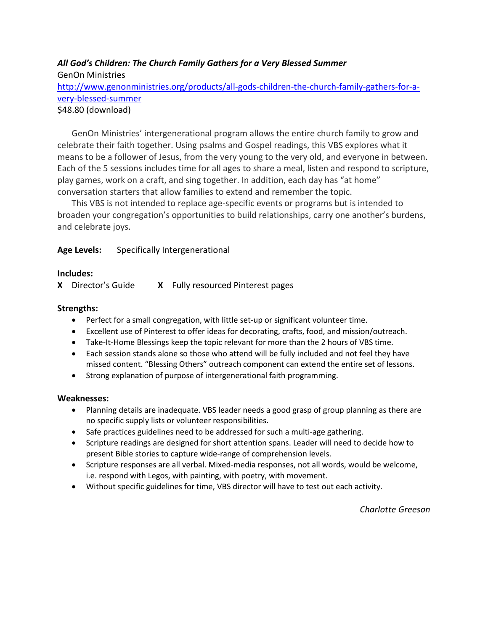# *All God's Children: The Church Family Gathers for a Very Blessed Summer* GenOn Ministries [http://www.genonministries.org/products/all-gods-children-the-church-family-gathers-for-a](http://www.genonministries.org/products/all-gods-children-the-church-family-gathers-for-a-very-blessed-summer)[very-blessed-summer](http://www.genonministries.org/products/all-gods-children-the-church-family-gathers-for-a-very-blessed-summer) \$48.80 (download)

GenOn Ministries' intergenerational program allows the entire church family to grow and celebrate their faith together. Using psalms and Gospel readings, this VBS explores what it means to be a follower of Jesus, from the very young to the very old, and everyone in between. Each of the 5 sessions includes time for all ages to share a meal, listen and respond to scripture, play games, work on a craft, and sing together. In addition, each day has "at home" conversation starters that allow families to extend and remember the topic.

This VBS is not intended to replace age-specific events or programs but is intended to broaden your congregation's opportunities to build relationships, carry one another's burdens, and celebrate joys.

# **Age Levels:** Specifically Intergenerational

#### **Includes:**

**X** Director's Guide **X** Fully resourced Pinterest pages

#### **Strengths:**

- Perfect for a small congregation, with little set-up or significant volunteer time.
- Excellent use of Pinterest to offer ideas for decorating, crafts, food, and mission/outreach.
- Take-It-Home Blessings keep the topic relevant for more than the 2 hours of VBS time.
- Each session stands alone so those who attend will be fully included and not feel they have missed content. "Blessing Others" outreach component can extend the entire set of lessons.
- Strong explanation of purpose of intergenerational faith programming.

#### **Weaknesses:**

- Planning details are inadequate. VBS leader needs a good grasp of group planning as there are no specific supply lists or volunteer responsibilities.
- Safe practices guidelines need to be addressed for such a multi-age gathering.
- Scripture readings are designed for short attention spans. Leader will need to decide how to present Bible stories to capture wide-range of comprehension levels.
- Scripture responses are all verbal. Mixed-media responses, not all words, would be welcome, i.e. respond with Legos, with painting, with poetry, with movement.
- Without specific guidelines for time, VBS director will have to test out each activity.

*Charlotte Greeson*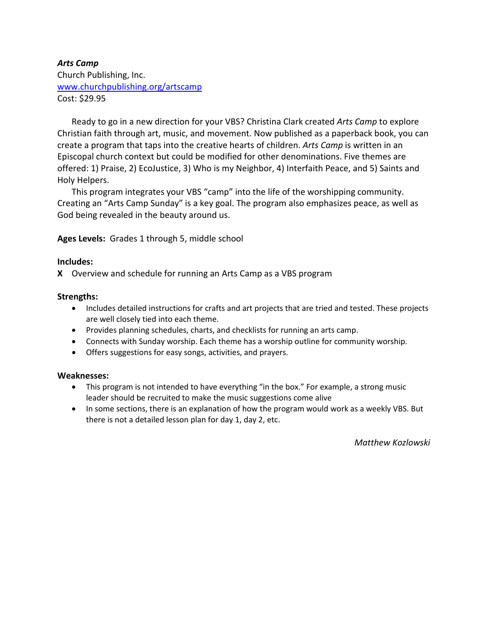# *Arts Camp* Church Publishing, Inc. [www.churchpublishing.org/artscamp](http://www.churchpublishing.org/artscamp) Cost: \$29.95

Ready to go in a new direction for your VBS? Christina Clark created *Arts Camp* to explore Christian faith through art, music, and movement. Now published as a paperback book, you can create a program that taps into the creative hearts of children. *Arts Camp* is written in an Episcopal church context but could be modified for other denominations. Five themes are offered: 1) Praise, 2) EcoJustice, 3) Who is my Neighbor, 4) Interfaith Peace, and 5) Saints and Holy Helpers.

This program integrates your VBS "camp" into the life of the worshipping community. Creating an "Arts Camp Sunday" is a key goal. The program also emphasizes peace, as well as God being revealed in the beauty around us.

**Ages Levels:** Grades 1 through 5, middle school

#### **Includes:**

**X** Overview and schedule for running an Arts Camp as a VBS program

#### **Strengths:**

- Includes detailed instructions for crafts and art projects that are tried and tested. These projects are well closely tied into each theme.
- Provides planning schedules, charts, and checklists for running an arts camp.
- Connects with Sunday worship. Each theme has a worship outline for community worship.
- Offers suggestions for easy songs, activities, and prayers.

#### **Weaknesses:**

- This program is not intended to have everything "in the box." For example, a strong music leader should be recruited to make the music suggestions come alive
- In some sections, there is an explanation of how the program would work as a weekly VBS. But there is not a detailed lesson plan for day 1, day 2, etc.

*Matthew Kozlowski*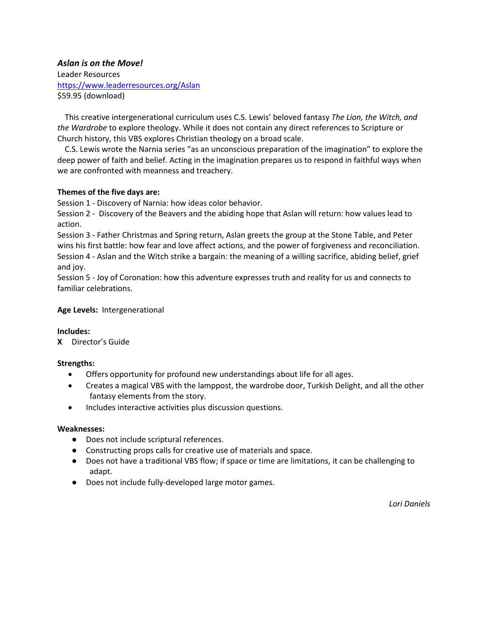#### *Aslan is on the Move!* Leader Resources <https://www.leaderresources.org/Aslan> \$59.95 (download)

This creative intergenerational curriculum uses C.S. Lewis' beloved fantasy *The Lion, the Witch, and the Wardrobe* to explore theology. While it does not contain any direct references to Scripture or Church history, this VBS explores Christian theology on a broad scale.

C.S. Lewis wrote the Narnia series "as an unconscious preparation of the imagination" to explore the deep power of faith and belief. Acting in the imagination prepares us to respond in faithful ways when we are confronted with meanness and treachery.

#### **Themes of the five days are:**

Session 1 - Discovery of Narnia: how ideas color behavior.

Session 2 - Discovery of the Beavers and the abiding hope that Aslan will return: how values lead to action.

Session 3 - Father Christmas and Spring return, Aslan greets the group at the Stone Table, and Peter wins his first battle: how fear and love affect actions, and the power of forgiveness and reconciliation. Session 4 - Aslan and the Witch strike a bargain: the meaning of a willing sacrifice, abiding belief, grief and joy.

Session 5 - Joy of Coronation: how this adventure expresses truth and reality for us and connects to familiar celebrations.

#### **Age Levels:** Intergenerational

#### **Includes:**

**X** Director's Guide

#### **Strengths:**

- Offers opportunity for profound new understandings about life for all ages.
- Creates a magical VBS with the lamppost, the wardrobe door, Turkish Delight, and all the other fantasy elements from the story.
- Includes interactive activities plus discussion questions.

#### **Weaknesses:**

- Does not include scriptural references.
- Constructing props calls for creative use of materials and space.
- Does not have a traditional VBS flow; if space or time are limitations, it can be challenging to adapt.
- Does not include fully-developed large motor games.

*Lori Daniels*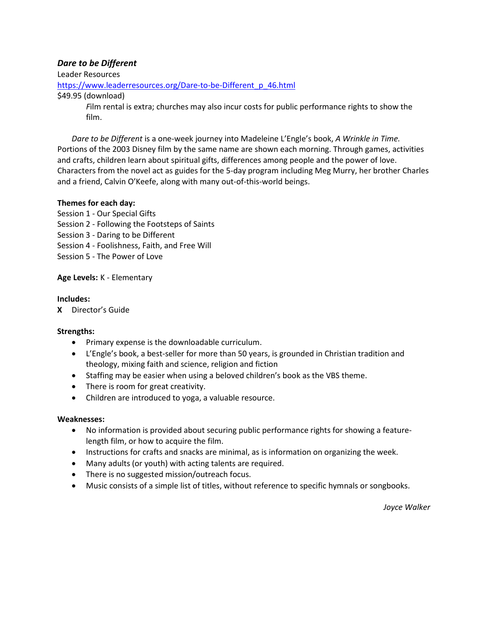#### *Dare to be Different*

Leader Resources

[https://www.leaderresources.org/Dare-to-be-Different\\_p\\_46.html](https://www.leaderresources.org/Dare-to-be-Different_p_46.html)

\$49.95 (download)

*F*ilm rental is extra; churches may also incur costs for public performance rights to show the film.

*Dare to be Different* is a one-week journey into Madeleine L'Engle's book, *A Wrinkle in Time.* Portions of the 2003 Disney film by the same name are shown each morning. Through games, activities and crafts, children learn about spiritual gifts, differences among people and the power of love. Characters from the novel act as guides for the 5-day program including Meg Murry, her brother Charles and a friend, Calvin O'Keefe, along with many out-of-this-world beings.

#### **Themes for each day:**

Session 1 - Our Special Gifts

- Session 2 Following the Footsteps of Saints
- Session 3 Daring to be Different
- Session 4 Foolishness, Faith, and Free Will
- Session 5 The Power of Love

#### **Age Levels:** K - Elementary

#### **Includes:**

**X** Director's Guide

#### **Strengths:**

- Primary expense is the downloadable curriculum.
- L'Engle's book, a best-seller for more than 50 years, is grounded in Christian tradition and theology, mixing faith and science, religion and fiction
- Staffing may be easier when using a beloved children's book as the VBS theme.
- There is room for great creativity.
- Children are introduced to yoga, a valuable resource.

#### **Weaknesses:**

- No information is provided about securing public performance rights for showing a featurelength film, or how to acquire the film.
- Instructions for crafts and snacks are minimal, as is information on organizing the week.
- Many adults (or youth) with acting talents are required.
- There is no suggested mission/outreach focus.
- Music consists of a simple list of titles, without reference to specific hymnals or songbooks.

*Joyce Walker*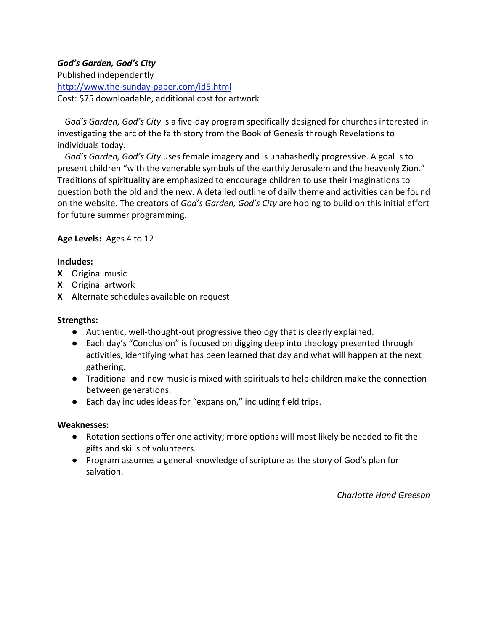# *God's Garden, God's City*

Published independently <http://www.the-sunday-paper.com/id5.html> Cost: \$75 downloadable, additional cost for artwork

*God's Garden, God's City* is a five-day program specifically designed for churches interested in investigating the arc of the faith story from the Book of Genesis through Revelations to individuals today.

*God's Garden, God's City* uses female imagery and is unabashedly progressive. A goal is to present children "with the venerable symbols of the earthly Jerusalem and the heavenly Zion." Traditions of spirituality are emphasized to encourage children to use their imaginations to question both the old and the new. A detailed outline of daily theme and activities can be found on the website. The creators of *God's Garden, God's City* are hoping to build on this initial effort for future summer programming.

**Age Levels:** Ages 4 to 12

# **Includes:**

- **X** Original music
- **X** Original artwork
- **X** Alternate schedules available on request

# **Strengths:**

- Authentic, well-thought-out progressive theology that is clearly explained.
- Each day's "Conclusion" is focused on digging deep into theology presented through activities, identifying what has been learned that day and what will happen at the next gathering.
- Traditional and new music is mixed with spirituals to help children make the connection between generations.
- Each day includes ideas for "expansion," including field trips.

#### **Weaknesses:**

- Rotation sections offer one activity; more options will most likely be needed to fit the gifts and skills of volunteers.
- Program assumes a general knowledge of scripture as the story of God's plan for salvation.

*Charlotte Hand Greeson*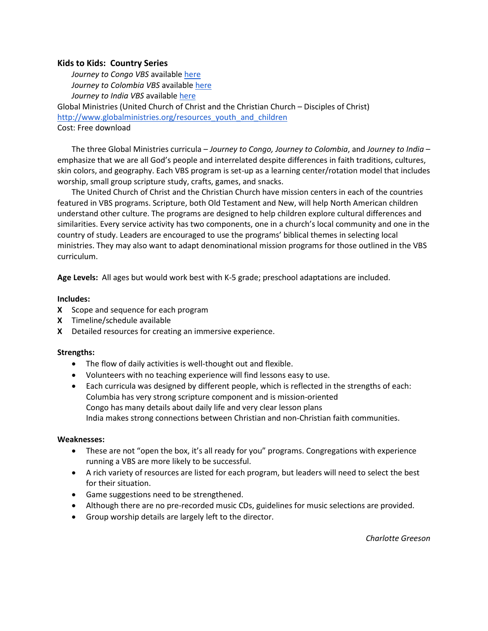#### **Kids to Kids: Country Series**

*Journey to Congo VBS* available [here](http://d3n8a8pro7vhmx.cloudfront.net/globalministries/legacy_url/891/FCM-K2KCongo2010-1.pdf?1419962706) *Journey to Colombia VBS* available [here](https://d3n8a8pro7vhmx.cloudfront.net/globalministries/pages/9251/attachments/original/1447781848/FCM-Kids2KidsColombia2012.pdf?1447781848) *Journey to India VBS* available [here](http://d3n8a8pro7vhmx.cloudfront.net/globalministries/legacy_url/894/FCM-K2KIndia-1.pdf?1419962710) Global Ministries (United Church of Christ and the Christian Church – Disciples of Christ) [http://www.globalministries.org/resources\\_youth\\_and\\_children](http://www.globalministries.org/resources_youth_and_children) Cost: Free download

The three Global Ministries curricula – *Journey to Congo, Journey to Colombia*, and *Journey to India* – emphasize that we are all God's people and interrelated despite differences in faith traditions, cultures, skin colors, and geography. Each VBS program is set-up as a learning center/rotation model that includes worship, small group scripture study, crafts, games, and snacks.

The United Church of Christ and the Christian Church have mission centers in each of the countries featured in VBS programs. Scripture, both Old Testament and New, will help North American children understand other culture. The programs are designed to help children explore cultural differences and similarities. Every service activity has two components, one in a church's local community and one in the country of study. Leaders are encouraged to use the programs' biblical themes in selecting local ministries. They may also want to adapt denominational mission programs for those outlined in the VBS curriculum.

**Age Levels:** All ages but would work best with K-5 grade; preschool adaptations are included.

#### **Includes:**

- **X** Scope and sequence for each program
- **X** Timeline/schedule available
- **X** Detailed resources for creating an immersive experience.

#### **Strengths:**

- The flow of daily activities is well-thought out and flexible.
- Volunteers with no teaching experience will find lessons easy to use.
- Each curricula was designed by different people, which is reflected in the strengths of each: Columbia has very strong scripture component and is mission-oriented Congo has many details about daily life and very clear lesson plans India makes strong connections between Christian and non-Christian faith communities.

- These are not "open the box, it's all ready for you" programs. Congregations with experience running a VBS are more likely to be successful.
- A rich variety of resources are listed for each program, but leaders will need to select the best for their situation.
- Game suggestions need to be strengthened.
- Although there are no pre-recorded music CDs, guidelines for music selections are provided.
- Group worship details are largely left to the director.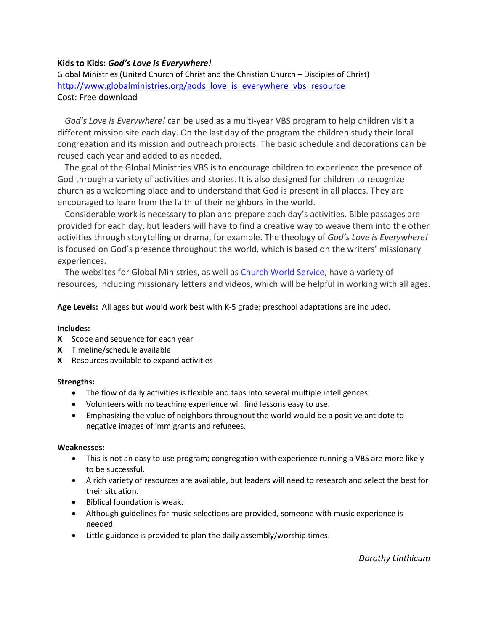#### **Kids to Kids:** *God's Love Is Everywhere!*

Global Ministries (United Church of Christ and the Christian Church – Disciples of Christ) [http://www.globalministries.org/gods\\_love\\_is\\_everywhere\\_vbs\\_resource](http://www.globalministries.org/gods_love_is_everywhere_vbs_resource) Cost: Free download

*God's Love is Everywhere!* can be used as a multi-year VBS program to help children visit a different mission site each day. On the last day of the program the children study their local congregation and its mission and outreach projects. The basic schedule and decorations can be reused each year and added to as needed.

The goal of the Global Ministries VBS is to encourage children to experience the presence of God through a variety of activities and stories. It is also designed for children to recognize church as a welcoming place and to understand that God is present in all places. They are encouraged to learn from the faith of their neighbors in the world.

Considerable work is necessary to plan and prepare each day's activities. Bible passages are provided for each day, but leaders will have to find a creative way to weave them into the other activities through storytelling or drama, for example. The theology of *God's Love is Everywhere!* is focused on God's presence throughout the world, which is based on the writers' missionary experiences.

The websites for Global Ministries, as well as [Church World Service,](http://www.cwsglobal.org/) have a variety of resources, including missionary letters and videos, which will be helpful in working with all ages.

**Age Levels:** All ages but would work best with K-5 grade; preschool adaptations are included.

#### **Includes:**

- **X** Scope and sequence for each year
- **X** Timeline/schedule available
- **X** Resources available to expand activities

#### **Strengths:**

- The flow of daily activities is flexible and taps into several multiple intelligences.
- Volunteers with no teaching experience will find lessons easy to use.
- Emphasizing the value of neighbors throughout the world would be a positive antidote to negative images of immigrants and refugees.

- This is not an easy to use program; congregation with experience running a VBS are more likely to be successful.
- A rich variety of resources are available, but leaders will need to research and select the best for their situation.
- Biblical foundation is weak.
- Although guidelines for music selections are provided, someone with music experience is needed.
- Little guidance is provided to plan the daily assembly/worship times.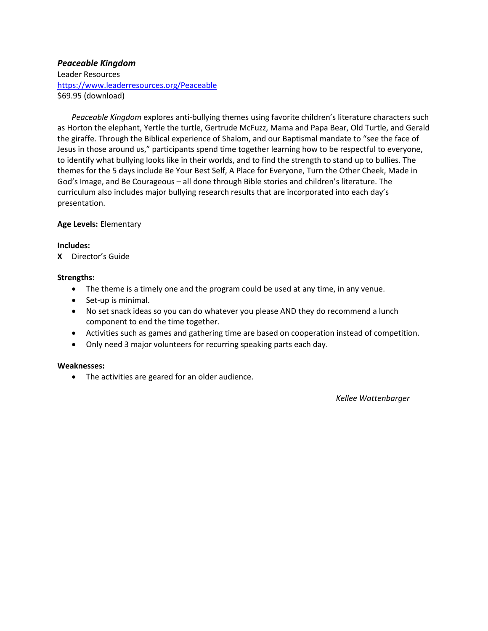# *Peaceable Kingdom*

Leader Resources <https://www.leaderresources.org/Peaceable> \$69.95 (download)

*Peaceable Kingdom* explores anti-bullying themes using favorite children's literature characters such as Horton the elephant, Yertle the turtle, Gertrude McFuzz, Mama and Papa Bear, Old Turtle, and Gerald the giraffe. Through the Biblical experience of Shalom, and our Baptismal mandate to "see the face of Jesus in those around us," participants spend time together learning how to be respectful to everyone, to identify what bullying looks like in their worlds, and to find the strength to stand up to bullies. The themes for the 5 days include Be Your Best Self, A Place for Everyone, Turn the Other Cheek, Made in God's Image, and Be Courageous – all done through Bible stories and children's literature. The curriculum also includes major bullying research results that are incorporated into each day's presentation.

#### **Age Levels:** Elementary

#### **Includes:**

**X** Director's Guide

#### **Strengths:**

- The theme is a timely one and the program could be used at any time, in any venue.
- Set-up is minimal.
- No set snack ideas so you can do whatever you please AND they do recommend a lunch component to end the time together.
- Activities such as games and gathering time are based on cooperation instead of competition.
- Only need 3 major volunteers for recurring speaking parts each day.

#### **Weaknesses:**

• The activities are geared for an older audience.

*Kellee Wattenbarger*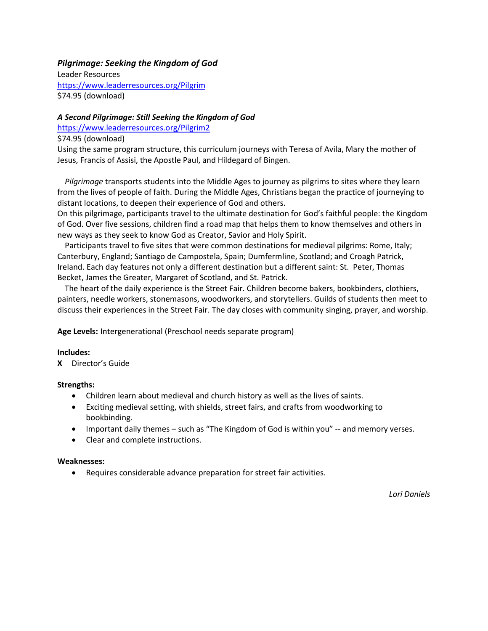#### *Pilgrimage: Seeking the Kingdom of God*

Leader Resources <https://www.leaderresources.org/Pilgrim> \$74.95 (download)

#### *A Second Pilgrimage: Still Seeking the Kingdom of God*

<https://www.leaderresources.org/Pilgrim2>

#### \$74.95 (download)

Using the same program structure, this curriculum journeys with Teresa of Avila, Mary the mother of Jesus, Francis of Assisi, the Apostle Paul, and Hildegard of Bingen.

*Pilgrimage* transports students into the Middle Ages to journey as pilgrims to sites where they learn from the lives of people of faith. During the Middle Ages, Christians began the practice of journeying to distant locations, to deepen their experience of God and others.

On this pilgrimage, participants travel to the ultimate destination for God's faithful people: the Kingdom of God. Over five sessions, children find a road map that helps them to know themselves and others in new ways as they seek to know God as Creator, Savior and Holy Spirit.

Participants travel to five sites that were common destinations for medieval pilgrims: Rome, Italy; Canterbury, England; Santiago de Campostela, Spain; Dumfermline, Scotland; and Croagh Patrick, Ireland. Each day features not only a different destination but a different saint: St. Peter, Thomas Becket, James the Greater, Margaret of Scotland, and St. Patrick.

The heart of the daily experience is the Street Fair. Children become bakers, bookbinders, clothiers, painters, needle workers, stonemasons, woodworkers, and storytellers. Guilds of students then meet to discuss their experiences in the Street Fair. The day closes with community singing, prayer, and worship.

**Age Levels:** Intergenerational (Preschool needs separate program)

#### **Includes:**

**X** Director's Guide

#### **Strengths:**

- Children learn about medieval and church history as well as the lives of saints.
- Exciting medieval setting, with shields, street fairs, and crafts from woodworking to bookbinding.
- Important daily themes such as "The Kingdom of God is within you" -- and memory verses.
- Clear and complete instructions.

#### **Weaknesses:**

• Requires considerable advance preparation for street fair activities.

*Lori Daniels*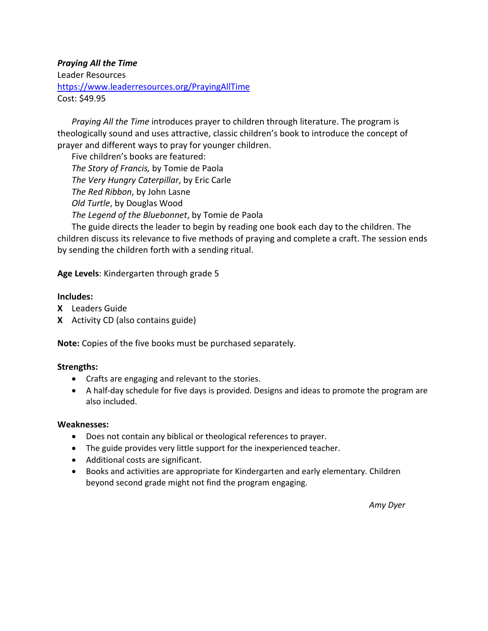# *Praying All the Time*

Leader Resources <https://www.leaderresources.org/PrayingAllTime> Cost: \$49.95

*Praying All the Time* introduces prayer to children through literature. The program is theologically sound and uses attractive, classic children's book to introduce the concept of prayer and different ways to pray for younger children.

Five children's books are featured: *The Story of Francis,* by Tomie de Paola *The Very Hungry Caterpillar*, by Eric Carle *The Red Ribbon*, by John Lasne *Old Turtle*, by Douglas Wood *The Legend of the Bluebonnet*, by Tomie de Paola

The guide directs the leader to begin by reading one book each day to the children. The children discuss its relevance to five methods of praying and complete a craft. The session ends by sending the children forth with a sending ritual.

**Age Levels**: Kindergarten through grade 5

#### **Includes:**

- **X** Leaders Guide
- **X** Activity CD (also contains guide)

**Note:** Copies of the five books must be purchased separately.

#### **Strengths:**

- Crafts are engaging and relevant to the stories.
- A half-day schedule for five days is provided. Designs and ideas to promote the program are also included.

#### **Weaknesses:**

- Does not contain any biblical or theological references to prayer.
- The guide provides very little support for the inexperienced teacher.
- Additional costs are significant.
- Books and activities are appropriate for Kindergarten and early elementary. Children beyond second grade might not find the program engaging.

*Amy Dyer*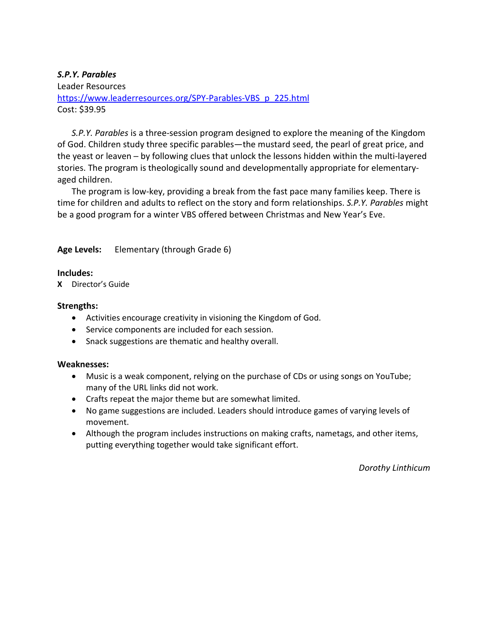#### *S.P.Y. Parables*

Leader Resources

[https://www.leaderresources.org/SPY-Parables-VBS\\_p\\_225.html](https://www.leaderresources.org/SPY-Parables-VBS_p_225.html) Cost: \$39.95

*S.P.Y. Parables* is a three-session program designed to explore the meaning of the Kingdom of God. Children study three specific parables—the mustard seed, the pearl of great price, and the yeast or leaven – by following clues that unlock the lessons hidden within the multi-layered stories. The program is theologically sound and developmentally appropriate for elementaryaged children.

The program is low-key, providing a break from the fast pace many families keep. There is time for children and adults to reflect on the story and form relationships. *S.P.Y. Parables* might be a good program for a winter VBS offered between Christmas and New Year's Eve.

# **Age Levels:** Elementary (through Grade 6)

#### **Includes:**

**X** Director's Guide

#### **Strengths:**

- Activities encourage creativity in visioning the Kingdom of God.
- Service components are included for each session.
- Snack suggestions are thematic and healthy overall.

#### **Weaknesses:**

- Music is a weak component, relying on the purchase of CDs or using songs on YouTube; many of the URL links did not work.
- Crafts repeat the major theme but are somewhat limited.
- No game suggestions are included. Leaders should introduce games of varying levels of movement.
- Although the program includes instructions on making crafts, nametags, and other items, putting everything together would take significant effort.

*Dorothy Linthicum*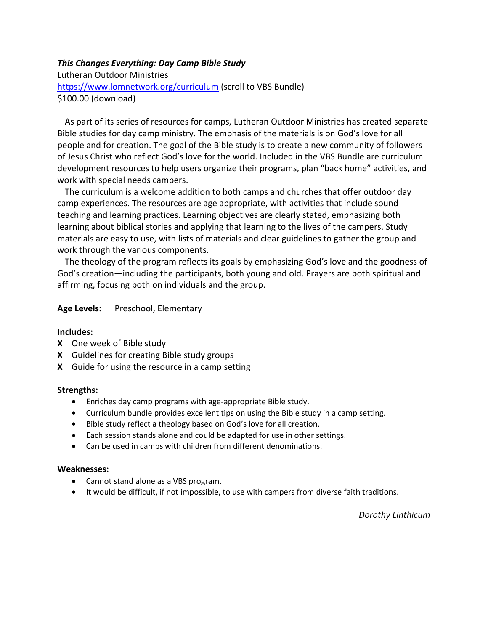#### *This Changes Everything: Day Camp Bible Study*

Lutheran Outdoor Ministries <https://www.lomnetwork.org/curriculum> (scroll to VBS Bundle) \$100.00 (download)

As part of its series of resources for camps, Lutheran Outdoor Ministries has created separate Bible studies for day camp ministry. The emphasis of the materials is on God's love for all people and for creation. The goal of the Bible study is to create a new community of followers of Jesus Christ who reflect God's love for the world. Included in the VBS Bundle are curriculum development resources to help users organize their programs, plan "back home" activities, and work with special needs campers.

The curriculum is a welcome addition to both camps and churches that offer outdoor day camp experiences. The resources are age appropriate, with activities that include sound teaching and learning practices. Learning objectives are clearly stated, emphasizing both learning about biblical stories and applying that learning to the lives of the campers. Study materials are easy to use, with lists of materials and clear guidelines to gather the group and work through the various components.

The theology of the program reflects its goals by emphasizing God's love and the goodness of God's creation—including the participants, both young and old. Prayers are both spiritual and affirming, focusing both on individuals and the group.

#### Age Levels: Preschool, Elementary

#### **Includes:**

- **X** One week of Bible study
- **X** Guidelines for creating Bible study groups
- **X** Guide for using the resource in a camp setting

#### **Strengths:**

- Enriches day camp programs with age-appropriate Bible study.
- Curriculum bundle provides excellent tips on using the Bible study in a camp setting.
- Bible study reflect a theology based on God's love for all creation.
- Each session stands alone and could be adapted for use in other settings.
- Can be used in camps with children from different denominations.

#### **Weaknesses:**

- Cannot stand alone as a VBS program.
- It would be difficult, if not impossible, to use with campers from diverse faith traditions.

*Dorothy Linthicum*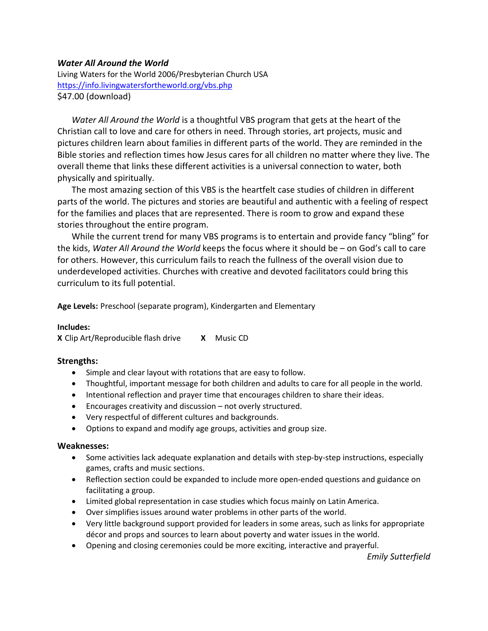#### *Water All Around the World*

Living Waters for the World 2006/Presbyterian Church USA <https://info.livingwatersfortheworld.org/vbs.php> \$47.00 (download)

*Water All Around the World* is a thoughtful VBS program that gets at the heart of the Christian call to love and care for others in need. Through stories, art projects, music and pictures children learn about families in different parts of the world. They are reminded in the Bible stories and reflection times how Jesus cares for all children no matter where they live. The overall theme that links these different activities is a universal connection to water, both physically and spiritually.

The most amazing section of this VBS is the heartfelt case studies of children in different parts of the world. The pictures and stories are beautiful and authentic with a feeling of respect for the families and places that are represented. There is room to grow and expand these stories throughout the entire program.

While the current trend for many VBS programs is to entertain and provide fancy "bling" for the kids, *Water All Around the World* keeps the focus where it should be – on God's call to care for others. However, this curriculum fails to reach the fullness of the overall vision due to underdeveloped activities. Churches with creative and devoted facilitators could bring this curriculum to its full potential.

**Age Levels:** Preschool (separate program), Kindergarten and Elementary

#### **Includes:**

**X** Clip Art/Reproducible flash drive **X** Music CD

#### **Strengths:**

- Simple and clear layout with rotations that are easy to follow.
- Thoughtful, important message for both children and adults to care for all people in the world.
- Intentional reflection and prayer time that encourages children to share their ideas.
- Encourages creativity and discussion not overly structured.
- Very respectful of different cultures and backgrounds.
- Options to expand and modify age groups, activities and group size.

#### **Weaknesses:**

- Some activities lack adequate explanation and details with step-by-step instructions, especially games, crafts and music sections.
- Reflection section could be expanded to include more open-ended questions and guidance on facilitating a group.
- Limited global representation in case studies which focus mainly on Latin America.
- Over simplifies issues around water problems in other parts of the world.
- Very little background support provided for leaders in some areas, such as links for appropriate décor and props and sources to learn about poverty and water issues in the world.
- Opening and closing ceremonies could be more exciting, interactive and prayerful.

*Emily Sutterfield*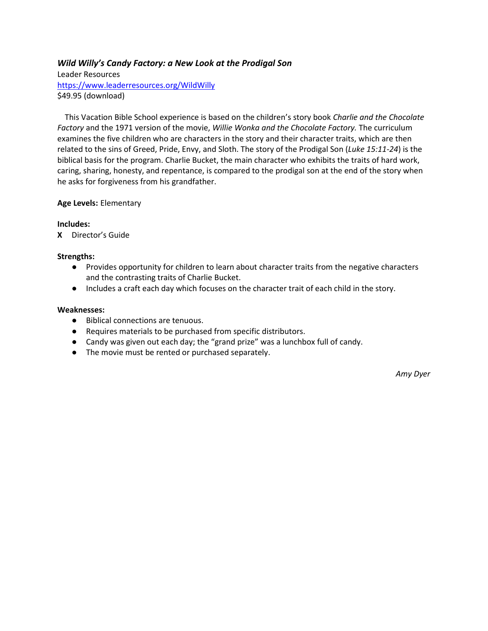#### *Wild Willy's Candy Factory: a New Look at the Prodigal Son*

Leader Resources <https://www.leaderresources.org/WildWilly> \$49.95 (download)

This Vacation Bible School experience is based on the children's story book *Charlie and the Chocolate Factory* and the 1971 version of the movie, *Willie Wonka and the Chocolate Factory.* The curriculum examines the five children who are characters in the story and their character traits, which are then related to the sins of Greed, Pride, Envy, and Sloth. The story of the Prodigal Son (*Luke 15:11-24*) is the biblical basis for the program. Charlie Bucket, the main character who exhibits the traits of hard work, caring, sharing, honesty, and repentance, is compared to the prodigal son at the end of the story when he asks for forgiveness from his grandfather.

#### **Age Levels:** Elementary

#### **Includes:**

**X** Director's Guide

#### **Strengths:**

- Provides opportunity for children to learn about character traits from the negative characters and the contrasting traits of Charlie Bucket.
- Includes a craft each day which focuses on the character trait of each child in the story.

#### **Weaknesses:**

- Biblical connections are tenuous.
- Requires materials to be purchased from specific distributors.
- Candy was given out each day; the "grand prize" was a lunchbox full of candy.
- The movie must be rented or purchased separately.

*Amy Dyer*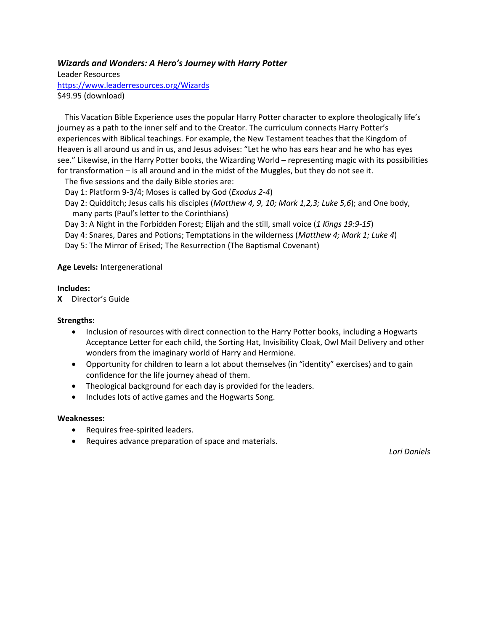#### *Wizards and Wonders: A Hero's Journey with Harry Potter*

Leader Resources <https://www.leaderresources.org/Wizards> \$49.95 (download)

This Vacation Bible Experience uses the popular Harry Potter character to explore theologically life's journey as a path to the inner self and to the Creator. The curriculum connects Harry Potter's experiences with Biblical teachings. For example, the New Testament teaches that the Kingdom of Heaven is all around us and in us, and Jesus advises: "Let he who has ears hear and he who has eyes see." Likewise, in the Harry Potter books, the Wizarding World – representing magic with its possibilities for transformation – is all around and in the midst of the Muggles, but they do not see it.

The five sessions and the daily Bible stories are:

Day 1: Platform 9-3/4; Moses is called by God (*Exodus 2-4*)

Day 2: Quidditch; Jesus calls his disciples (*Matthew 4, 9, 10; Mark 1,2,3; Luke 5,6*); and One body, many parts (Paul's letter to the Corinthians)

Day 3: A Night in the Forbidden Forest; Elijah and the still, small voice (*1 Kings 19:9-15*)

Day 4: Snares, Dares and Potions; Temptations in the wilderness (*Matthew 4; Mark 1; Luke 4*)

Day 5: The Mirror of Erised; The Resurrection (The Baptismal Covenant)

#### **Age Levels:** Intergenerational

#### **Includes:**

**X** Director's Guide

#### **Strengths:**

- Inclusion of resources with direct connection to the Harry Potter books, including a Hogwarts Acceptance Letter for each child, the Sorting Hat, Invisibility Cloak, Owl Mail Delivery and other wonders from the imaginary world of Harry and Hermione.
- Opportunity for children to learn a lot about themselves (in "identity" exercises) and to gain confidence for the life journey ahead of them.
- Theological background for each day is provided for the leaders.
- Includes lots of active games and the Hogwarts Song.

#### **Weaknesses:**

- Requires free-spirited leaders.
- Requires advance preparation of space and materials.

*Lori Daniels*